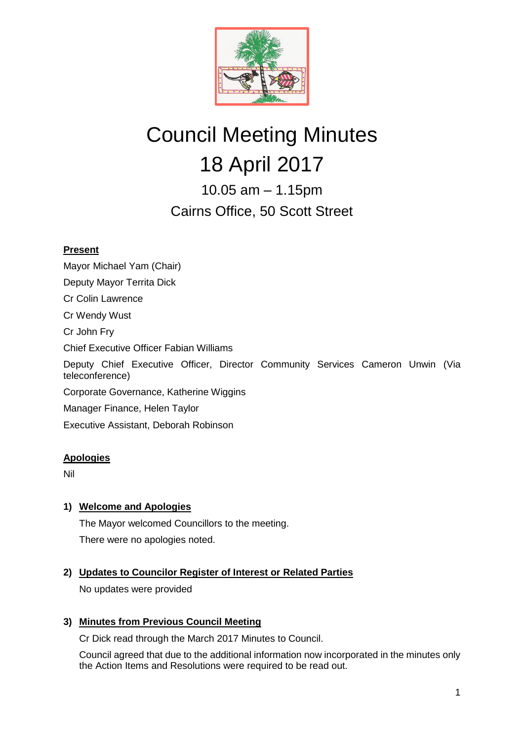

# Council Meeting Minutes 18 April 2017

10.05 am – 1.15pm Cairns Office, 50 Scott Street

# **Present**

Mayor Michael Yam (Chair) Deputy Mayor Territa Dick Cr Colin Lawrence Cr Wendy Wust Cr John Fry Chief Executive Officer Fabian Williams Deputy Chief Executive Officer, Director Community Services Cameron Unwin (Via teleconference) Corporate Governance, Katherine Wiggins Manager Finance, Helen Taylor Executive Assistant, Deborah Robinson

# **Apologies**

Nil

# **1) Welcome and Apologies**

The Mayor welcomed Councillors to the meeting. There were no apologies noted.

# **2) Updates to Councilor Register of Interest or Related Parties**

No updates were provided

# **3) Minutes from Previous Council Meeting**

Cr Dick read through the March 2017 Minutes to Council.

Council agreed that due to the additional information now incorporated in the minutes only the Action Items and Resolutions were required to be read out.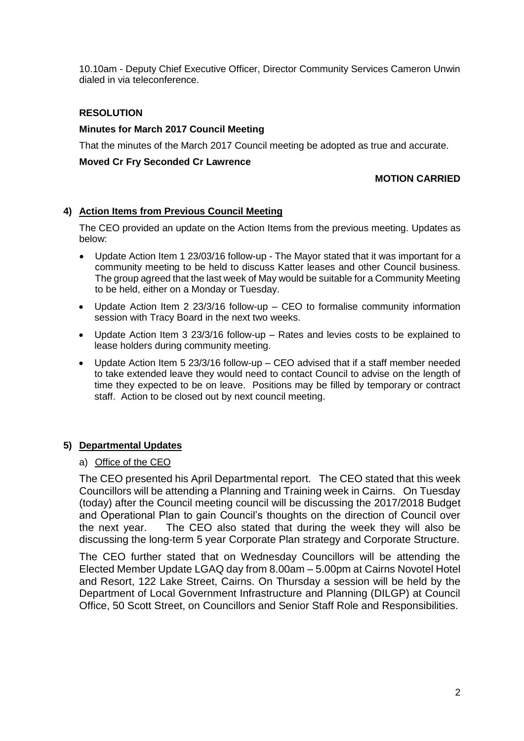10.10am - Deputy Chief Executive Officer, Director Community Services Cameron Unwin dialed in via teleconference.

## **RESOLUTION**

#### **Minutes for March 2017 Council Meeting**

That the minutes of the March 2017 Council meeting be adopted as true and accurate.

#### **Moved Cr Fry Seconded Cr Lawrence**

#### **MOTION CARRIED**

## **4) Action Items from Previous Council Meeting**

The CEO provided an update on the Action Items from the previous meeting. Updates as below:

- Update Action Item 1 23/03/16 follow-up The Mayor stated that it was important for a community meeting to be held to discuss Katter leases and other Council business. The group agreed that the last week of May would be suitable for a Community Meeting to be held, either on a Monday or Tuesday.
- Update Action Item 2 23/3/16 follow-up CEO to formalise community information session with Tracy Board in the next two weeks.
- Update Action Item 3 23/3/16 follow-up Rates and levies costs to be explained to lease holders during community meeting.
- Update Action Item 5 23/3/16 follow-up CEO advised that if a staff member needed to take extended leave they would need to contact Council to advise on the length of time they expected to be on leave. Positions may be filled by temporary or contract staff. Action to be closed out by next council meeting.

# **5) Departmental Updates**

#### a) Office of the CEO

The CEO presented his April Departmental report. The CEO stated that this week Councillors will be attending a Planning and Training week in Cairns. On Tuesday (today) after the Council meeting council will be discussing the 2017/2018 Budget and Operational Plan to gain Council's thoughts on the direction of Council over the next year. The CEO also stated that during the week they will also be discussing the long-term 5 year Corporate Plan strategy and Corporate Structure.

The CEO further stated that on Wednesday Councillors will be attending the Elected Member Update LGAQ day from 8.00am – 5.00pm at Cairns Novotel Hotel and Resort, 122 Lake Street, Cairns. On Thursday a session will be held by the Department of Local Government Infrastructure and Planning (DILGP) at Council Office, 50 Scott Street, on Councillors and Senior Staff Role and Responsibilities.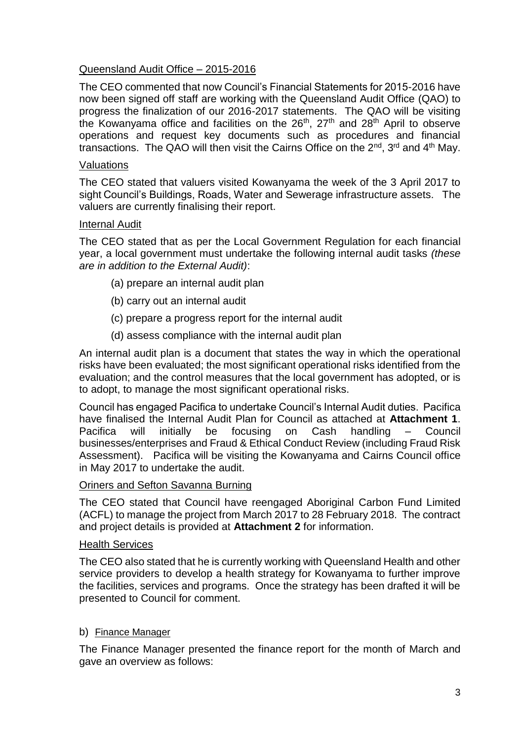# Queensland Audit Office – 2015-2016

The CEO commented that now Council's Financial Statements for 2015-2016 have now been signed off staff are working with the Queensland Audit Office (QAO) to progress the finalization of our 2016-2017 statements. The QAO will be visiting the Kowanyama office and facilities on the  $26<sup>th</sup>$ ,  $27<sup>th</sup>$  and  $28<sup>th</sup>$  April to observe operations and request key documents such as procedures and financial transactions. The QAO will then visit the Cairns Office on the  $2^{nd}$ ,  $3^{rd}$  and  $4^{th}$  May.

# Valuations

The CEO stated that valuers visited Kowanyama the week of the 3 April 2017 to sight Council's Buildings, Roads, Water and Sewerage infrastructure assets. The valuers are currently finalising their report.

## Internal Audit

The CEO stated that as per the Local Government Regulation for each financial year, a local government must undertake the following internal audit tasks *(these are in addition to the External Audit)*:

- (a) prepare an internal audit plan
- (b) carry out an internal audit
- (c) prepare a progress report for the internal audit
- (d) assess compliance with the internal audit plan

An internal audit plan is a document that states the way in which the operational risks have been evaluated; the most significant operational risks identified from the evaluation; and the control measures that the local government has adopted, or is to adopt, to manage the most significant operational risks.

Council has engaged Pacifica to undertake Council's Internal Audit duties. Pacifica have finalised the Internal Audit Plan for Council as attached at **Attachment 1**. Pacifica will initially be focusing on Cash handling – Council businesses/enterprises and Fraud & Ethical Conduct Review (including Fraud Risk Assessment). Pacifica will be visiting the Kowanyama and Cairns Council office in May 2017 to undertake the audit.

# Oriners and Sefton Savanna Burning

The CEO stated that Council have reengaged Aboriginal Carbon Fund Limited (ACFL) to manage the project from March 2017 to 28 February 2018. The contract and project details is provided at **Attachment 2** for information.

## Health Services

The CEO also stated that he is currently working with Queensland Health and other service providers to develop a health strategy for Kowanyama to further improve the facilities, services and programs. Once the strategy has been drafted it will be presented to Council for comment.

# b) Finance Manager

The Finance Manager presented the finance report for the month of March and gave an overview as follows: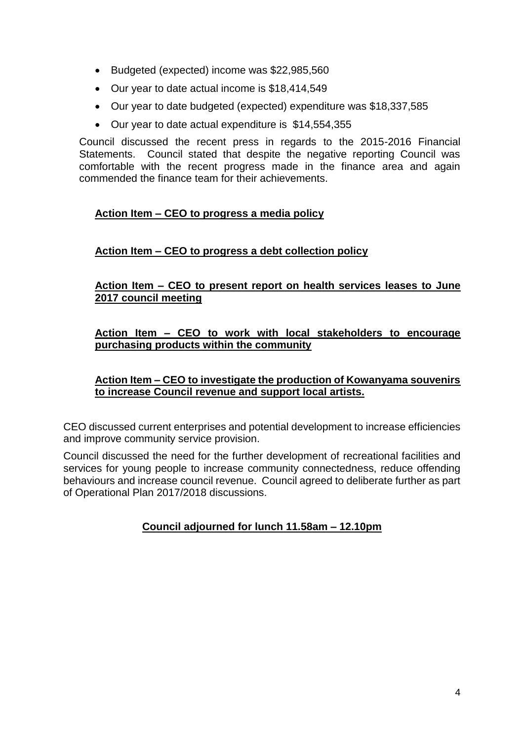- Budgeted (expected) income was \$22,985,560
- Our year to date actual income is \$18,414,549
- Our year to date budgeted (expected) expenditure was \$18,337,585
- Our year to date actual expenditure is \$14,554,355

Council discussed the recent press in regards to the 2015-2016 Financial Statements. Council stated that despite the negative reporting Council was comfortable with the recent progress made in the finance area and again commended the finance team for their achievements.

# **Action Item – CEO to progress a media policy**

# **Action Item – CEO to progress a debt collection policy**

**Action Item – CEO to present report on health services leases to June 2017 council meeting**

# **Action Item – CEO to work with local stakeholders to encourage purchasing products within the community**

# **Action Item – CEO to investigate the production of Kowanyama souvenirs to increase Council revenue and support local artists.**

CEO discussed current enterprises and potential development to increase efficiencies and improve community service provision.

Council discussed the need for the further development of recreational facilities and services for young people to increase community connectedness, reduce offending behaviours and increase council revenue. Council agreed to deliberate further as part of Operational Plan 2017/2018 discussions.

# **Council adjourned for lunch 11.58am – 12.10pm**